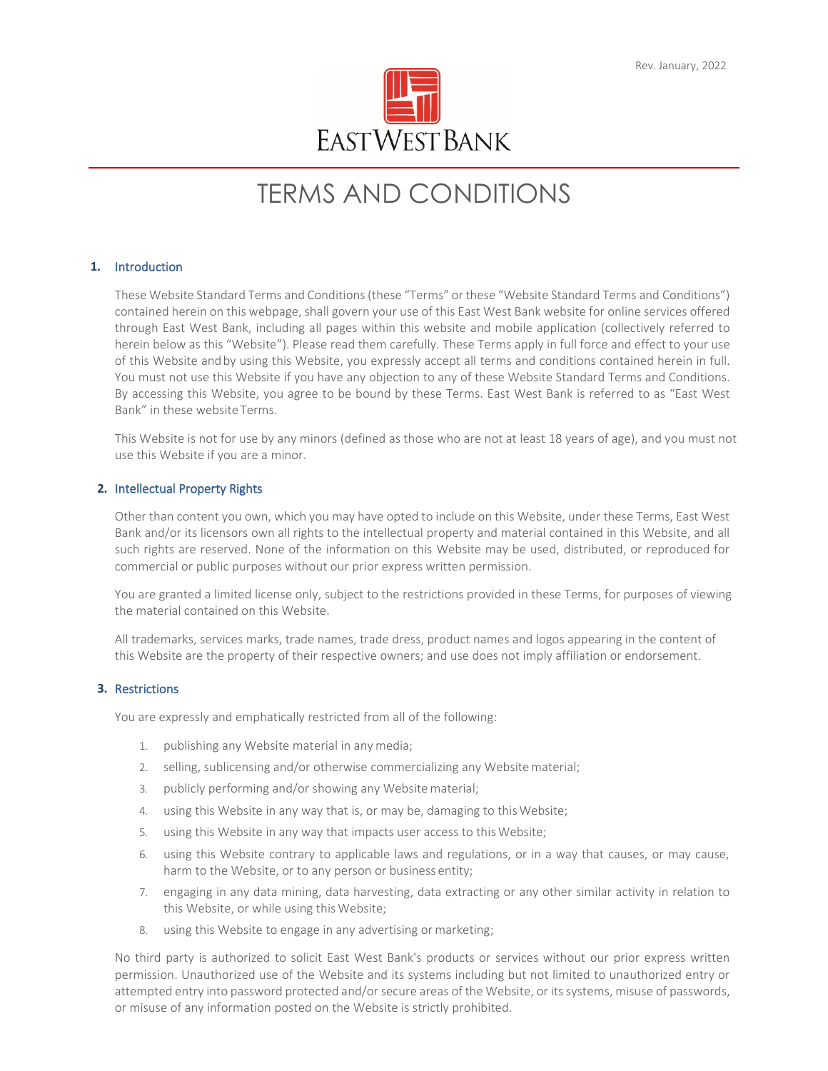# TERMS AND CONDITIONS

# **1.** Introduction

These Website Standard Terms and Conditions(these "Terms" or these "Website Standard Terms and Conditions") contained herein on this webpage, shall govern your use of this East West Bank website for online services offered through East West Bank, including all pages within this website and mobile application (collectively referred to herein below as this "Website"). Please read them carefully. These Terms apply in full force and effect to your use of this Website andby using this Website, you expressly accept all terms and conditions contained herein in full. You must not use this Website if you have any objection to any of these Website Standard Terms and Conditions. By accessing this Website, you agree to be bound by these Terms. East West Bank is referred to as "East West Bank" in these website Terms.

This Website is not for use by any minors (defined as those who are not at least 18 years of age), and you must not use this Website if you are a minor.

## **2.** Intellectual Property Rights

Other than content you own, which you may have opted to include on this Website, under these Terms, East West Bank and/or its licensors own all rights to the intellectual property and material contained in this Website, and all such rights are reserved. None of the information on this Website may be used, distributed, or reproduced for commercial or public purposes without our prior express written permission.

You are granted a limited license only, subject to the restrictions provided in these Terms, for purposes of viewing the material contained on this Website.

All trademarks, services marks, trade names, trade dress, product names and logos appearing in the content of this Website are the property of their respective owners; and use does not imply affiliation or endorsement.

## **3.** Restrictions

You are expressly and emphatically restricted from all of the following:

- 1. publishing any Website material in any media;
- 2. selling, sublicensing and/or otherwise commercializing any Websitematerial;
- 3. publicly performing and/or showing any Websitematerial;
- 4. using this Website in any way that is, or may be, damaging to thisWebsite;
- 5. using this Website in any way that impacts user access to this Website;
- 6. using this Website contrary to applicable laws and regulations, or in a way that causes, or may cause, harm to the Website, or to any person or business entity;
- 7. engaging in any data mining, data harvesting, data extracting or any other similar activity in relation to this Website, or while using this Website;
- 8. using this Website to engage in any advertising or marketing;

No third party is authorized to solicit East West Bank's products or services without our prior express written permission. Unauthorized use of the Website and its systems including but not limited to unauthorized entry or attempted entry into password protected and/or secure areas of the Website, or its systems, misuse of passwords, or misuse of any information posted on the Website is strictly prohibited.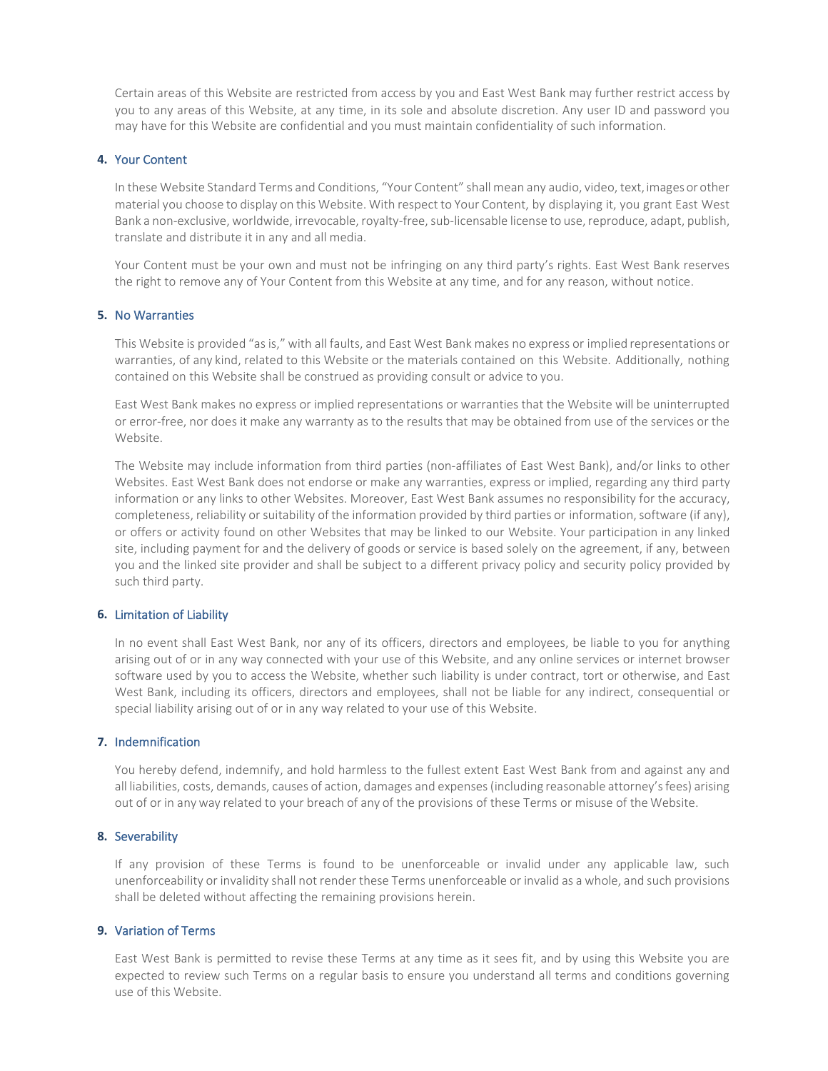Certain areas of this Website are restricted from access by you and East West Bank may further restrict access by you to any areas of this Website, at any time, in its sole and absolute discretion. Any user ID and password you may have for this Website are confidential and you must maintain confidentiality of such information.

# **4.** Your Content

In these Website Standard Terms and Conditions, "Your Content" shall mean any audio, video, text,images or other material you choose to display on this Website. With respect to Your Content, by displaying it, you grant East West Bank a non-exclusive, worldwide, irrevocable, royalty-free, sub-licensable license to use, reproduce, adapt, publish, translate and distribute it in any and all media.

Your Content must be your own and must not be infringing on any third party's rights. East West Bank reserves the right to remove any of Your Content from this Website at any time, and for any reason, without notice.

## **5.** No Warranties

This Website is provided "asis," with all faults, and East West Bank makes no express or implied representations or warranties, of any kind, related to this Website or the materials contained on this Website. Additionally, nothing contained on this Website shall be construed as providing consult or advice to you.

East West Bank makes no express or implied representations or warranties that the Website will be uninterrupted or error-free, nor does it make any warranty as to the results that may be obtained from use of the services or the Website.

The Website may include information from third parties (non-affiliates of East West Bank), and/or links to other Websites. East West Bank does not endorse or make any warranties, express or implied, regarding any third party information or any links to other Websites. Moreover, East West Bank assumes no responsibility for the accuracy, completeness, reliability or suitability of the information provided by third parties or information, software (if any), or offers or activity found on other Websites that may be linked to our Website. Your participation in any linked site, including payment for and the delivery of goods or service is based solely on the agreement, if any, between you and the linked site provider and shall be subject to a different privacy policy and security policy provided by such third party.

## **6.** Limitation of Liability

In no event shall East West Bank, nor any of its officers, directors and employees, be liable to you for anything arising out of or in any way connected with your use of this Website, and any online services or internet browser software used by you to access the Website, whether such liability is under contract, tort or otherwise, and East West Bank, including its officers, directors and employees, shall not be liable for any indirect, consequential or special liability arising out of or in any way related to your use of this Website.

#### **7.** Indemnification

You hereby defend, indemnify, and hold harmless to the fullest extent East West Bank from and against any and all liabilities, costs, demands, causes of action, damages and expenses (including reasonable attorney's fees) arising out of or in anyway related to your breach of any of the provisions of these Terms or misuse of the Website.

# **8.** Severability

If any provision of these Terms is found to be unenforceable or invalid under any applicable law, such unenforceability or invalidity shall not render these Terms unenforceable or invalid as a whole, and such provisions shall be deleted without affecting the remaining provisions herein.

## **9.** Variation of Terms

East West Bank is permitted to revise these Terms at any time as it sees fit, and by using this Website you are expected to review such Terms on a regular basis to ensure you understand all terms and conditions governing use of this Website.